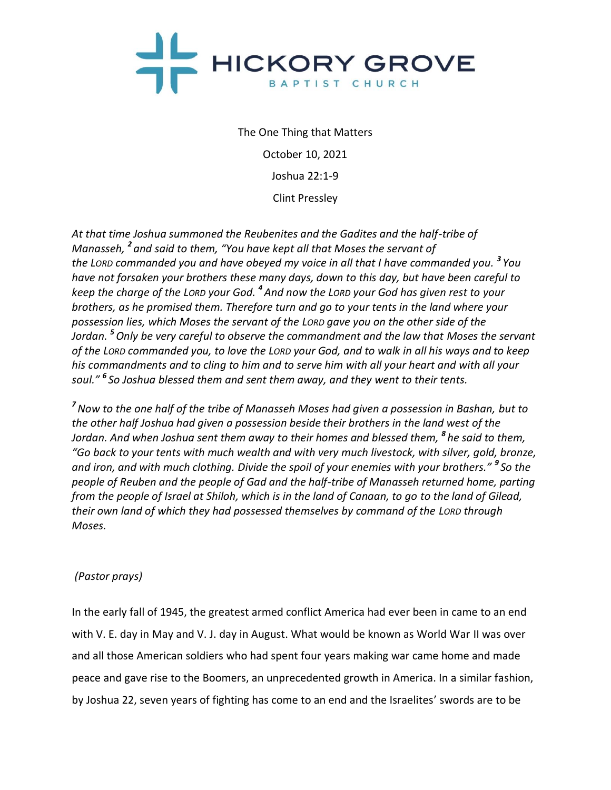

The One Thing that Matters October 10, 2021 Joshua 22:1-9 Clint Pressley

*At that time Joshua summoned the Reubenites and the Gadites and the half-tribe of Manasseh, <sup>2</sup> and said to them, "You have kept all that Moses the servant of the LORD commanded you and have obeyed my voice in all that I have commanded you. <sup>3</sup> You have not forsaken your brothers these many days, down to this day, but have been careful to keep the charge of the LORD your God. <sup>4</sup> And now the LORD your God has given rest to your brothers, as he promised them. Therefore turn and go to your tents in the land where your possession lies, which Moses the servant of the LORD gave you on the other side of the Jordan. <sup>5</sup>Only be very careful to observe the commandment and the law that Moses the servant of the LORD commanded you, to love the LORD your God, and to walk in all his ways and to keep his commandments and to cling to him and to serve him with all your heart and with all your soul." <sup>6</sup> So Joshua blessed them and sent them away, and they went to their tents.*

*<sup>7</sup>Now to the one half of the tribe of Manasseh Moses had given a possession in Bashan, but to the other half Joshua had given a possession beside their brothers in the land west of the Jordan. And when Joshua sent them away to their homes and blessed them, <sup>8</sup> he said to them, "Go back to your tents with much wealth and with very much livestock, with silver, gold, bronze, and iron, and with much clothing. Divide the spoil of your enemies with your brothers." <sup>9</sup> So the people of Reuben and the people of Gad and the half-tribe of Manasseh returned home, parting from the people of Israel at Shiloh, which is in the land of Canaan, to go to the land of Gilead, their own land of which they had possessed themselves by command of the LORD through Moses.*

# *(Pastor prays)*

In the early fall of 1945, the greatest armed conflict America had ever been in came to an end with V. E. day in May and V. J. day in August. What would be known as World War II was over and all those American soldiers who had spent four years making war came home and made peace and gave rise to the Boomers, an unprecedented growth in America. In a similar fashion, by Joshua 22, seven years of fighting has come to an end and the Israelites' swords are to be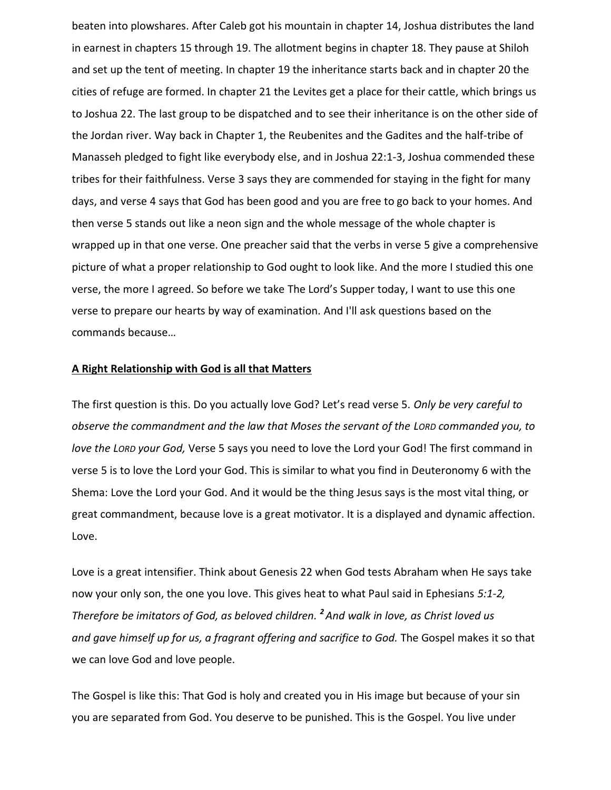beaten into plowshares. After Caleb got his mountain in chapter 14, Joshua distributes the land in earnest in chapters 15 through 19. The allotment begins in chapter 18. They pause at Shiloh and set up the tent of meeting. In chapter 19 the inheritance starts back and in chapter 20 the cities of refuge are formed. In chapter 21 the Levites get a place for their cattle, which brings us to Joshua 22. The last group to be dispatched and to see their inheritance is on the other side of the Jordan river. Way back in Chapter 1, the Reubenites and the Gadites and the half-tribe of Manasseh pledged to fight like everybody else, and in Joshua 22:1-3, Joshua commended these tribes for their faithfulness. Verse 3 says they are commended for staying in the fight for many days, and verse 4 says that God has been good and you are free to go back to your homes. And then verse 5 stands out like a neon sign and the whole message of the whole chapter is wrapped up in that one verse. One preacher said that the verbs in verse 5 give a comprehensive picture of what a proper relationship to God ought to look like. And the more I studied this one verse, the more I agreed. So before we take The Lord's Supper today, I want to use this one verse to prepare our hearts by way of examination. And I'll ask questions based on the commands because…

### **A Right Relationship with God is all that Matters**

The first question is this. Do you actually love God? Let's read verse 5. *Only be very careful to observe the commandment and the law that Moses the servant of the LORD commanded you, to love the LORD your God,* Verse 5 says you need to love the Lord your God! The first command in verse 5 is to love the Lord your God. This is similar to what you find in Deuteronomy 6 with the Shema: Love the Lord your God. And it would be the thing Jesus says is the most vital thing, or great commandment, because love is a great motivator. It is a displayed and dynamic affection. Love.

Love is a great intensifier. Think about Genesis 22 when God tests Abraham when He says take now your only son, the one you love. This gives heat to what Paul said in Ephesians *5:1-2, Therefore be imitators of God, as beloved children. <sup>2</sup> And walk in love, as Christ loved us and gave himself up for us, a fragrant offering and sacrifice to God.* The Gospel makes it so that we can love God and love people.

The Gospel is like this: That God is holy and created you in His image but because of your sin you are separated from God. You deserve to be punished. This is the Gospel. You live under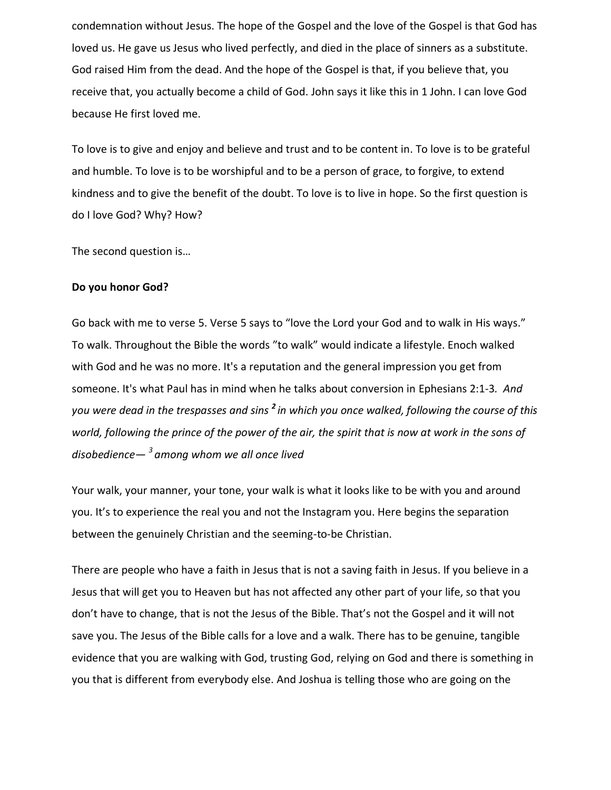condemnation without Jesus. The hope of the Gospel and the love of the Gospel is that God has loved us. He gave us Jesus who lived perfectly, and died in the place of sinners as a substitute. God raised Him from the dead. And the hope of the Gospel is that, if you believe that, you receive that, you actually become a child of God. John says it like this in 1 John. I can love God because He first loved me.

To love is to give and enjoy and believe and trust and to be content in. To love is to be grateful and humble. To love is to be worshipful and to be a person of grace, to forgive, to extend kindness and to give the benefit of the doubt. To love is to live in hope. So the first question is do I love God? Why? How?

The second question is…

### **Do you honor God?**

Go back with me to verse 5. Verse 5 says to "love the Lord your God and to walk in His ways." To walk. Throughout the Bible the words "to walk" would indicate a lifestyle. Enoch walked with God and he was no more. It's a reputation and the general impression you get from someone. It's what Paul has in mind when he talks about conversion in Ephesians 2:1-3*. And you were dead in the trespasses and sins <sup>2</sup> in which you once walked, following the course of this world, following the prince of the power of the air, the spirit that is now at work in the sons of disobedience— <sup>3</sup>among whom we all once lived*

Your walk, your manner, your tone, your walk is what it looks like to be with you and around you. It's to experience the real you and not the Instagram you. Here begins the separation between the genuinely Christian and the seeming-to-be Christian.

There are people who have a faith in Jesus that is not a saving faith in Jesus. If you believe in a Jesus that will get you to Heaven but has not affected any other part of your life, so that you don't have to change, that is not the Jesus of the Bible. That's not the Gospel and it will not save you. The Jesus of the Bible calls for a love and a walk. There has to be genuine, tangible evidence that you are walking with God, trusting God, relying on God and there is something in you that is different from everybody else. And Joshua is telling those who are going on the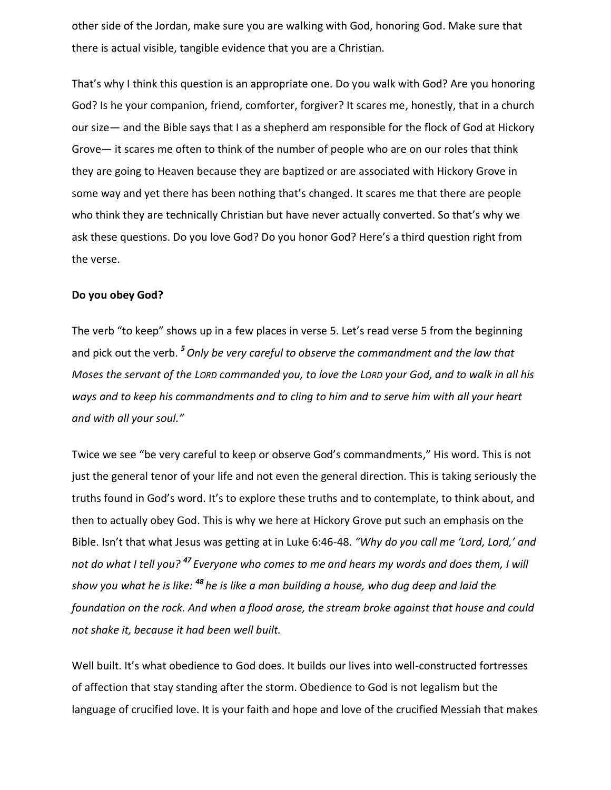other side of the Jordan, make sure you are walking with God, honoring God. Make sure that there is actual visible, tangible evidence that you are a Christian.

That's why I think this question is an appropriate one. Do you walk with God? Are you honoring God? Is he your companion, friend, comforter, forgiver? It scares me, honestly, that in a church our size— and the Bible says that I as a shepherd am responsible for the flock of God at Hickory Grove— it scares me often to think of the number of people who are on our roles that think they are going to Heaven because they are baptized or are associated with Hickory Grove in some way and yet there has been nothing that's changed. It scares me that there are people who think they are technically Christian but have never actually converted. So that's why we ask these questions. Do you love God? Do you honor God? Here's a third question right from the verse.

#### **Do you obey God?**

The verb "to keep" shows up in a few places in verse 5. Let's read verse 5 from the beginning and pick out the verb. *<sup>5</sup>Only be very careful to observe the commandment and the law that Moses the servant of the LORD commanded you, to love the LORD your God, and to walk in all his ways and to keep his commandments and to cling to him and to serve him with all your heart and with all your soul."*

Twice we see "be very careful to keep or observe God's commandments," His word. This is not just the general tenor of your life and not even the general direction. This is taking seriously the truths found in God's word. It's to explore these truths and to contemplate, to think about, and then to actually obey God. This is why we here at Hickory Grove put such an emphasis on the Bible. Isn't that what Jesus was getting at in Luke 6:46-48. *"Why do you call me 'Lord, Lord,' and not do what I tell you? <sup>47</sup> Everyone who comes to me and hears my words and does them, I will show you what he is like: <sup>48</sup> he is like a man building a house, who dug deep and laid the foundation on the rock. And when a flood arose, the stream broke against that house and could not shake it, because it had been well built.*

Well built. It's what obedience to God does. It builds our lives into well-constructed fortresses of affection that stay standing after the storm. Obedience to God is not legalism but the language of crucified love. It is your faith and hope and love of the crucified Messiah that makes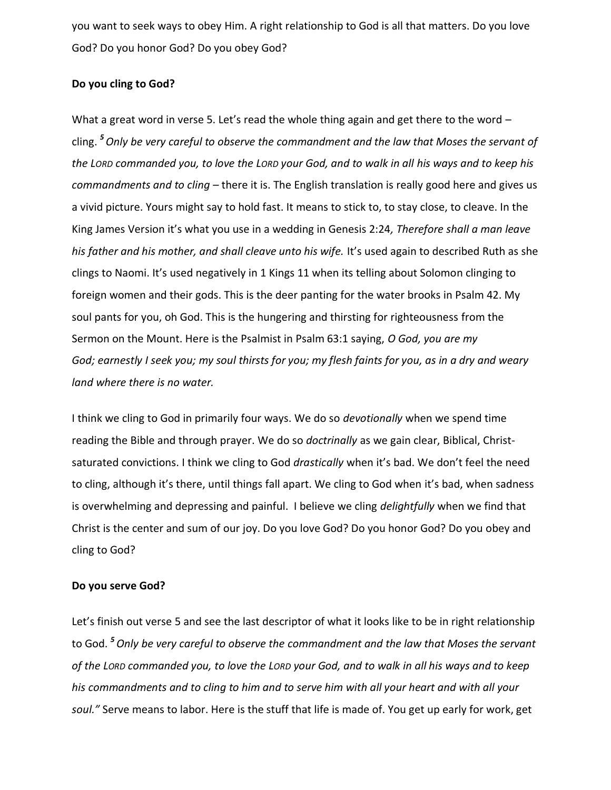you want to seek ways to obey Him. A right relationship to God is all that matters. Do you love God? Do you honor God? Do you obey God?

## **Do you cling to God?**

What a great word in verse 5. Let's read the whole thing again and get there to the word cling. *<sup>5</sup>Only be very careful to observe the commandment and the law that Moses the servant of the LORD commanded you, to love the LORD your God, and to walk in all his ways and to keep his commandments and to cling –* there it is. The English translation is really good here and gives us a vivid picture. Yours might say to hold fast. It means to stick to, to stay close, to cleave. In the King James Version it's what you use in a wedding in Genesis 2:24*, Therefore shall a man leave his father and his mother, and shall cleave unto his wife.* It's used again to described Ruth as she clings to Naomi. It's used negatively in 1 Kings 11 when its telling about Solomon clinging to foreign women and their gods. This is the deer panting for the water brooks in Psalm 42. My soul pants for you, oh God. This is the hungering and thirsting for righteousness from the Sermon on the Mount. Here is the Psalmist in Psalm 63:1 saying, *O God, you are my God; earnestly I seek you; my soul thirsts for you; my flesh faints for you, as in a dry and weary land where there is no water.*

I think we cling to God in primarily four ways. We do so *devotionally* when we spend time reading the Bible and through prayer. We do so *doctrinally* as we gain clear, Biblical, Christsaturated convictions. I think we cling to God *drastically* when it's bad. We don't feel the need to cling, although it's there, until things fall apart. We cling to God when it's bad, when sadness is overwhelming and depressing and painful. I believe we cling *delightfully* when we find that Christ is the center and sum of our joy. Do you love God? Do you honor God? Do you obey and cling to God?

#### **Do you serve God?**

Let's finish out verse 5 and see the last descriptor of what it looks like to be in right relationship to God. *<sup>5</sup>Only be very careful to observe the commandment and the law that Moses the servant of the LORD commanded you, to love the LORD your God, and to walk in all his ways and to keep his commandments and to cling to him and to serve him with all your heart and with all your soul."* Serve means to labor. Here is the stuff that life is made of. You get up early for work, get